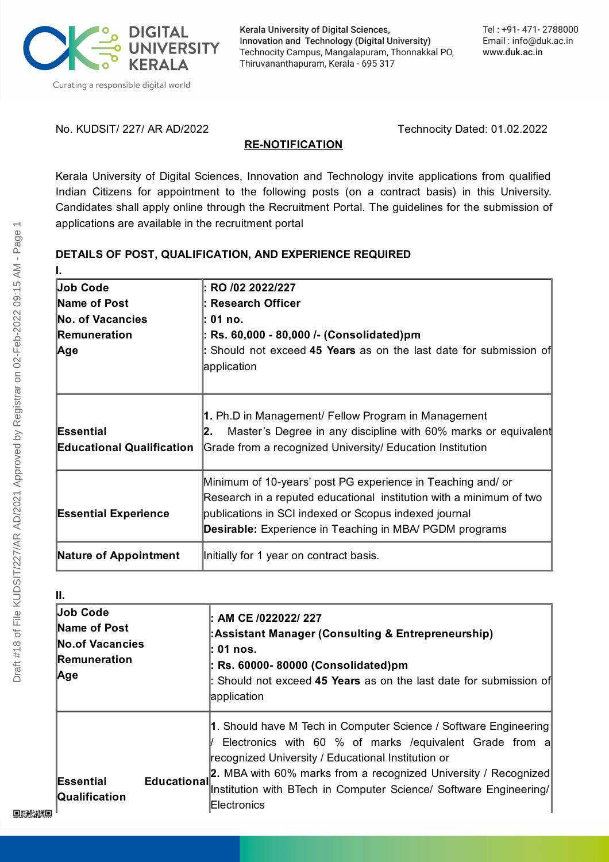

Kerala University of Digital Sciences, Innovation and Technology (Digital University) Technocity Campus, Mangalapuram, Thonnakkal PO, Thiruvananthapuram, Kerala - 695 317

No. KUDSIT/ 227/ AR AD/2022 Technocity Dated: 01.02.2022

#### **RE-NOTIFICATION**

Kerala University of Digital Sciences, Innovation and Technology invite applications from qualified Indian Citizens for appointment to the following posts (on a contract basis) in this University. Candidates shall apply online through the Recruitment Portal. The guidelines for the submission of applications are available in the recruitment portal

# **DETAILS OF POST, QUALIFICATION, AND EXPERIENCE REQUIRED**

| <b>Job Code</b>                               | : RO /02 2022/227                                                                                                                                                                                                                                             |
|-----------------------------------------------|---------------------------------------------------------------------------------------------------------------------------------------------------------------------------------------------------------------------------------------------------------------|
| Name of Post                                  | l: Research Officer                                                                                                                                                                                                                                           |
| No. of Vacancies                              | l: 01 no.                                                                                                                                                                                                                                                     |
| <b>Remuneration</b>                           | : Rs. 60,000 - 80,000 /- (Consolidated)pm                                                                                                                                                                                                                     |
| Age                                           | : Should not exceed 45 Years as on the last date for submission of<br>application                                                                                                                                                                             |
| Essential<br><b>Educational Qualification</b> | 1. Ph.D in Management/ Fellow Program in Management<br>Master's Degree in any discipline with 60% marks or equivalent<br>I2.<br>Grade from a recognized University/ Education Institution                                                                     |
| <b>Essential Experience</b>                   | Minimum of 10-years' post PG experience in Teaching and/ or<br>Research in a reputed educational institution with a minimum of two<br>publications in SCI indexed or Scopus indexed journal<br><b>Desirable:</b> Experience in Teaching in MBA/ PGDM programs |
| <b>Nature of Appointment</b>                  | Initially for 1 year on contract basis.                                                                                                                                                                                                                       |

| Ш.                                                      | : AM CE /022022/ 227                                                                                                                                                                                                                                                                                                                      |
|---------------------------------------------------------|-------------------------------------------------------------------------------------------------------------------------------------------------------------------------------------------------------------------------------------------------------------------------------------------------------------------------------------------|
| <b>Job Code</b>                                         | :Assistant Manager (Consulting & Entrepreneurship)                                                                                                                                                                                                                                                                                        |
| Name of Post                                            | : 01 nos.                                                                                                                                                                                                                                                                                                                                 |
| <b>No.of Vacancies</b>                                  | : Rs. 60000- 80000 (Consolidated)pm                                                                                                                                                                                                                                                                                                       |
| <b>Remuneration</b>                                     | : Should not exceed 45 Years as on the last date for submission of                                                                                                                                                                                                                                                                        |
| Age                                                     | application                                                                                                                                                                                                                                                                                                                               |
| Essential<br><b>Educational</b><br><b>Qualification</b> | 1. Should have M Tech in Computer Science / Software Engineering<br>Electronics with 60 % of marks / equivalent Grade from a<br>recognized University / Educational Institution or<br>2. MBA with 60% marks from a recognized University / Recognized<br>Institution with BTech in Computer Science/ Software Engineering/<br>Electronics |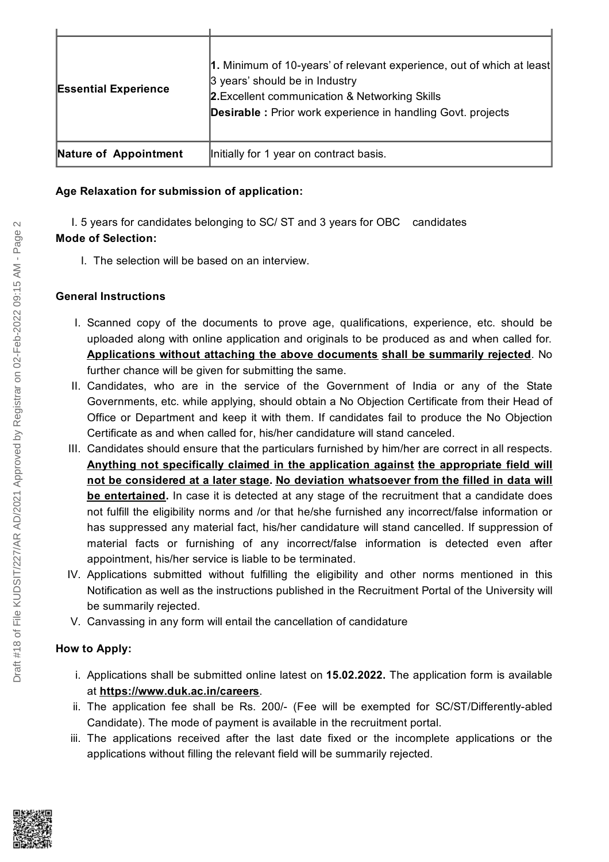| <b>Essential Experience</b> | 1. Minimum of 10-years' of relevant experience, out of which at least<br>3 years' should be in Industry<br>2. Excellent communication & Networking Skills<br><b>Desirable:</b> Prior work experience in handling Govt. projects |
|-----------------------------|---------------------------------------------------------------------------------------------------------------------------------------------------------------------------------------------------------------------------------|
| Nature of Appointment       | Initially for 1 year on contract basis.                                                                                                                                                                                         |

### **Age Relaxation for submission of application:**

I. 5 years for candidates belonging to SC/ ST and 3 years for OBC candidates **Mode of Selection:**

I. The selection will be based on an interview.

### **General Instructions**

- I. Scanned copy of the documents to prove age, qualifications, experience, etc. should be uploaded along with online application and originals to be produced as and when called for. **Applications without attaching the above documents shall be summarily rejected**. No further chance will be given for submitting the same.
- II. Candidates, who are in the service of the Government of India or any of the State Governments, etc. while applying, should obtain a No Objection Certificate from their Head of Office or Department and keep it with them. If candidates fail to produce the No Objection Certificate as and when called for, his/her candidature will stand canceled.
- III. Candidates should ensure that the particulars furnished by him/her are correct in all respects. **Anything not specifically claimed in the application against the appropriate field will not be considered at a later stage. No deviation whatsoever from the filled in data will be entertained.** In case it is detected at any stage of the recruitment that a candidate does not fulfill the eligibility norms and /or that he/she furnished any incorrect/false information or has suppressed any material fact, his/her candidature will stand cancelled. If suppression of material facts or furnishing of any incorrect/false information is detected even after appointment, his/her service is liable to be terminated.
- IV. Applications submitted without fulfilling the eligibility and other norms mentioned in this Notification as well as the instructions published in the Recruitment Portal of the University will be summarily rejected.
- V. Canvassing in any form will entail the cancellation of candidature

## **How to Apply:**

- i. Applications shall be submitted online latest on **15.02.2022.** The application form is available at **<https://www.duk.ac.in/careers>**.
- ii. The application fee shall be Rs. 200/- (Fee will be exempted for SC/ST/Differently-abled Candidate). The mode of payment is available in the recruitment portal.
- iii. The applications received after the last date fixed or the incomplete applications or the applications without filling the relevant field will be summarily rejected.